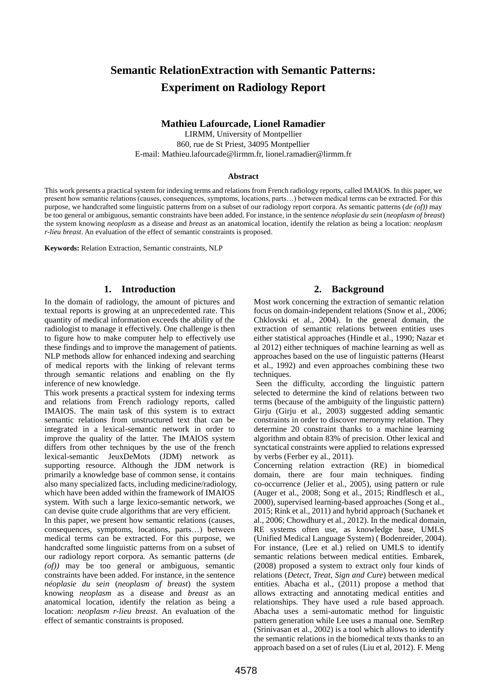# **Semantic RelationExtraction with Semantic Patterns: Experiment on Radiology Report**

#### **Mathieu Lafourcade, Lionel Ramadier**

LIRMM, University of Montpellier 860, rue de St Priest, 34095 Montpellier E-mail: Mathieu.lafourcade@lirmm.fr, lionel.ramadier@lirmm.fr

#### **Abstract**

This work presents a practical system for indexing terms and relations from French radiology reports, called IMAIOS. In this paper, we present how semantic relations (causes, consequences, symptoms, locations, parts…) between medical terms can be extracted. For this purpose, we handcrafted some linguistic patterns from on a subset of our radiology report corpora. As semantic patterns (*de (of))* may be too general or ambiguous, semantic constraints have been added. For instance, in the sentence *néoplasie du sein* (*neoplasm of breast*) the system knowing *neoplasm* as a disease and *breast* as an anatomical location, identify the relation as being a location: *neoplasm r-lieu breast*. An evaluation of the effect of semantic constraints is proposed.

**Keywords:** Relation Extraction, Semantic constraints, NLP

### **1. Introduction**

In the domain of radiology, the amount of pictures and textual reports is growing at an unprecedented rate. This quantity of medical information exceeds the ability of the radiologist to manage it effectively. One challenge is then to figure how to make computer help to effectively use these findings and to improve the management of patients. NLP methods allow for enhanced indexing and searching of medical reports with the linking of relevant terms through semantic relations and enabling on the fly inference of new knowledge.

This work presents a practical system for indexing terms and relations from French radiology reports, called IMAIOS. The main task of this system is to extract semantic relations from unstructured text that can be integrated in a lexical-semantic network in order to improve the quality of the latter. The IMAIOS system differs from other techniques by the use of the french lexical-semantic JeuxDeMots (JDM) network as supporting resource. Although the JDM network is primarily a knowledge base of common sense, it contains also many specialized facts, including medicine/radiology, which have been added within the framework of IMAIOS system. With such a large lexico-semantic network, we can devise quite crude algorithms that are very efficient.

In this paper, we present how semantic relations (causes, consequences, symptoms, locations, parts…) between medical terms can be extracted. For this purpose, we handcrafted some linguistic patterns from on a subset of our radiology report corpora. As semantic patterns (*de (of))* may be too general or ambiguous, semantic constraints have been added. For instance, in the sentence *néoplasie du sein* (*neoplasm of breast*) the system knowing *neoplasm* as a disease and *breast* as an anatomical location, identify the relation as being a location: *neoplasm r-lieu breast*. An evaluation of the effect of semantic constraints is proposed.

# **2. Background**

Most work concerning the extraction of semantic relation focus on domain-independent relations (Snow et al., 2006; Chklovski et al., 2004). In the general domain, the extraction of semantic relations between entities uses either statistical approaches (Hindle et al., 1990; Nazar et al 2012) either techniques of machine learning as well as approaches based on the use of linguistic patterns (Hearst et al., 1992) and even approaches combining these two techniques.

Seen the difficulty, according the linguistic pattern selected to determine the kind of relations between two terms (because of the ambiguity of the linguistic pattern) Girju (Girju et al., 2003) suggested adding semantic constraints in order to discover meronymy relation. They determine 20 constraint thanks to a machine learning algorithm and obtain 83% of precision. Other lexical and synctatical constraints were applied to relations expressed by verbs (Ferber ey al., 2011).

Concerning relation extraction (RE) in biomedical domain, there are four main techniques. finding co-occurrence (Jelier et al., 2005), using pattern or rule (Auger et al., 2008; Song et al., 2015; Rindflesch et al., 2000), supervised learning-based approaches (Song et al., 2015; Rink et al., 2011) and hybrid approach (Suchanek et al., 2006; Chowdhury et al., 2012). In the medical domain, RE systems often use, as knowledge base, UMLS (Unified Medical Language System) ( Bodenreider, 2004). For instance, (Lee et al.) relied on UMLS to identify semantic relations between medical entities. Embarek, (2008) proposed a system to extract only four kinds of relations (*Detect, Treat, Sign and Cure*) between medical entities. Abacha et al., (2011) propose a method that allows extracting and annotating medical entities and relationships. They have used a rule based approach. Abacha uses a semi-automatic method for linguistic pattern generation while Lee uses a manual one. SemRep (Srinivasan et al., 2002) is a tool which allows to identify the semantic relations in the biomedical texts thanks to an approach based on a set of rules (Liu et al, 2012). F. Meng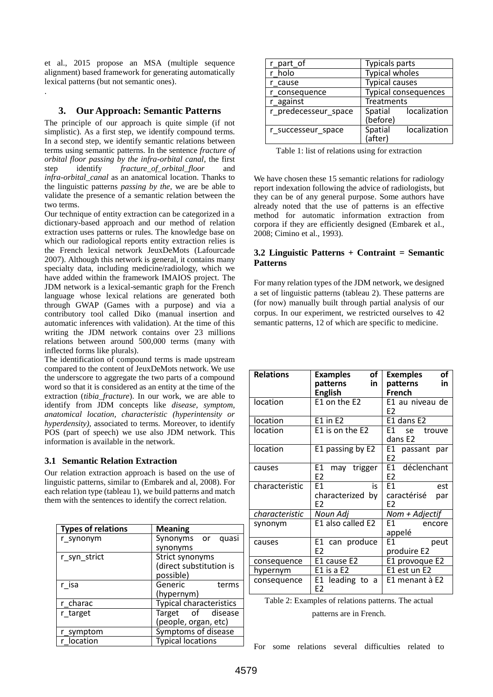et al., 2015 propose an MSA (multiple sequence alignment) based framework for generating automatically lexical patterns (but not semantic ones).

## **3. Our Approach: Semantic Patterns**

.

The principle of our approach is quite simple (if not simplistic). As a first step, we identify compound terms. In a second step, we identify semantic relations between terms using semantic patterns. In the sentence *fracture of orbital floor passing by the infra-orbital canal*, the first step identify *fracture\_of\_orbital\_floor* and *infra-orbital\_canal* as an anatomical location. Thanks to the linguistic patterns *passing by the,* we are be able to validate the presence of a semantic relation between the two terms.

Our technique of entity extraction can be categorized in a dictionary-based approach and our method of relation extraction uses patterns or rules. The knowledge base on which our radiological reports entity extraction relies is the French lexical network JeuxDeMots (Lafourcade 2007). Although this network is general, it contains many specialty data, including medicine/radiology, which we have added within the framework IMAIOS project. The JDM network is a lexical-semantic graph for the French language whose lexical relations are generated both through GWAP (Games with a purpose) and via a contributory tool called Diko (manual insertion and automatic inferences with validation). At the time of this writing the JDM network contains over 23 millions relations between around 500,000 terms (many with inflected forms like plurals).

The identification of compound terms is made upstream compared to the content of JeuxDeMots network. We use the underscore to aggregate the two parts of a compound word so that it is considered as an entity at the time of the extraction (*tibia\_fracture*). In our work, we are able to identify from JDM concepts like *disease, symptom, anatomical location, characteristic (hyperintensity or hyperdensity),* associated to terms. Moreover, to identify POS (part of speech) we use also JDM network. This information is available in the network.

#### **3.1 Semantic Relation Extraction**

Our relation extraction approach is based on the use of linguistic patterns, similar to (Embarek and al, 2008). For each relation type (tableau 1), we build patterns and match them with the sentences to identify the correct relation.

| <b>Types of relations</b> | <b>Meaning</b>                 |  |  |
|---------------------------|--------------------------------|--|--|
| r_synonym                 | Synonyms or<br>quasi           |  |  |
|                           | synonyms                       |  |  |
| r_syn_strict              | Strict synonyms                |  |  |
|                           | (direct substitution is        |  |  |
|                           | possible)                      |  |  |
| r isa                     | Generic<br>terms               |  |  |
|                           | (hypernym)                     |  |  |
| r charac                  | <b>Typical characteristics</b> |  |  |
| r target                  | Target of disease              |  |  |
|                           | (people, organ, etc)           |  |  |
| r_symptom                 | Symptoms of disease            |  |  |
| location                  | <b>Typical locations</b>       |  |  |

| r_part_of            | <b>Typicals parts</b>       |  |  |
|----------------------|-----------------------------|--|--|
| holo                 | <b>Typical wholes</b>       |  |  |
| cause                | <b>Typical causes</b>       |  |  |
| consequence          | <b>Typical consequences</b> |  |  |
| r against            | <b>Treatments</b>           |  |  |
| r predecesseur_space | localization<br>Spatial     |  |  |
|                      | (before)                    |  |  |
| r successeur space   | localization<br>Spatial     |  |  |
|                      | (after)                     |  |  |

Table 1: list of relations using for extraction

We have chosen these 15 semantic relations for radiology report indexation following the advice of radiologists, but they can be of any general purpose. Some authors have already noted that the use of patterns is an effective method for automatic information extraction from corpora if they are efficiently designed (Embarek et al., 2008; Cimino et al., 1993).

### **3.2 Linguistic Patterns + Contraint = Semantic Patterns**

For many relation types of the JDM network, we designed a set of linguistic patterns (tableau 2). These patterns are (for now) manually built through partial analysis of our corpus. In our experiment, we restricted ourselves to 42 semantic patterns, 12 of which are specific to medicine.

| <b>Relations</b> | of<br><b>Examples</b><br>in<br>patterns | οf<br><b>Exemples</b><br>in<br>patterns                                                                                                                                                                                                                    |
|------------------|-----------------------------------------|------------------------------------------------------------------------------------------------------------------------------------------------------------------------------------------------------------------------------------------------------------|
|                  | <b>English</b>                          | <b>French</b>                                                                                                                                                                                                                                              |
| location         | E1 on the $E2$                          | E1 au niveau de<br>E <sub>2</sub>                                                                                                                                                                                                                          |
| location         | E1 in E2                                | E1 dans E2                                                                                                                                                                                                                                                 |
| location         | E1 is on the E2                         | F1<br>se l<br>trouve<br>dans E2                                                                                                                                                                                                                            |
| location         | E1 passing by E2                        | E1 passant par<br>E <sub>2</sub>                                                                                                                                                                                                                           |
| causes           | E1  <br>may trigger<br>E <sub>2</sub>   | E1 déclenchant<br>E <sub>2</sub>                                                                                                                                                                                                                           |
| characteristic   | F1<br>is<br>characterized by<br>F2      | F1<br>est<br>caractérisé<br>par<br>F2                                                                                                                                                                                                                      |
| characteristic   | Noun Adj                                | Nom + Adjectif                                                                                                                                                                                                                                             |
| synonym          | E1 also called E2                       | E1 =<br>encore<br>appelé                                                                                                                                                                                                                                   |
| causes           | E1 can produce<br>F2                    | E1 and the set of the set of the set of the set of the set of the set of the set of the set of the set of the<br>Set of the set of the set of the set of the set of the set of the set of the set of the set of the set of the<br>S<br>peut<br>produire E2 |
| consequence      | E1 cause E2                             | E1 provoque E2                                                                                                                                                                                                                                             |
| hypernym         | E1 is a E2                              | E1 est un E2                                                                                                                                                                                                                                               |
| consequence      | E1 leading to a<br>E <sub>2</sub>       | E1 menant à E2                                                                                                                                                                                                                                             |

| Table 2: Examples of relations patterns. The actual |  |
|-----------------------------------------------------|--|
| patterns are in French.                             |  |

For some relations several difficulties related to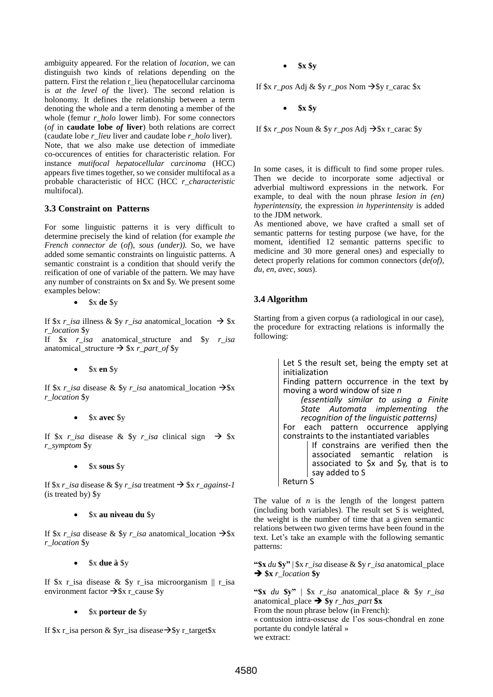ambiguity appeared. For the relation of *location*, we can distinguish two kinds of relations depending on the pattern. First the relation r\_lieu (hepatocellular carcinoma is *at the level of* the liver). The second relation is holonomy. It defines the relationship between a term denoting the whole and a term denoting a member of the whole (femur *r\_holo* lower limb). For some connectors (*of* in **caudate lobe** *of* **liver**) both relations are correct (caudate lobe *r\_lieu* liver and caudate lobe *r\_holo* liver). Note, that we also make use detection of immediate co-occurences of entities for characteristic relation. For instance *mutifocal hepatocellular carcinoma* (HCC) appears five times together, so we consider multifocal as a probable characteristic of HCC (HCC *r\_characteristic* multifocal).

#### **3.3 Constraint on Patterns**

For some linguistic patterns it is very difficult to determine precisely the kind of relation (for example *the French connector de* (*of*), *sous (under)).* So, we have added some semantic constraints on linguistic patterns. A semantic constraint is a condition that should verify the reification of one of variable of the pattern. We may have any number of constraints on \$x and \$y. We present some examples below:

\$x **de** \$y

If  $x \rightarrow \text{isa}$  illness  $x \rightarrow y \rightarrow \text{isa}$  anatomical location  $\rightarrow y \rightarrow \text{isa}$ *r\_location* \$y

If \$x *r\_isa* anatomical\_structure and \$y *r\_isa* anatomical\_structure  $\rightarrow$  \$x *r\_part\_of* \$y

\$x **en** \$y

If  $x \rightarrow isa$  disease &  $y \rightarrow isa$  anatomical location  $\rightarrow x$ *r\_location* \$y

#### \$x **avec** \$y

If  $x \rightarrow r$ *isa* disease &  $y \rightarrow r$ *isa* clinical sign  $\rightarrow x$ *r\_symptom* \$y

\$x **sous** \$y

If  $x \rightharpoondown$  *r\_isa* disease &  $y \rightharpoondown$  *isa* treatment  $\rightarrow x \rightharpoondown$  *f x\_r\_against-1* (is treated by) \$y

#### \$x **au niveau du** \$y

If  $x \rightarrow x$  *is a* disease &  $y \rightarrow x$  *r\_isa* anatomical\_location  $\rightarrow x$ *r\_location* \$y

#### \$x **due à** \$y

If  $x$  r\_isa disease &  $y$  r\_isa microorganism  $||$  r\_isa environment factor  $\rightarrow$  \$x r\_cause \$y

#### \$x **porteur de** \$y

If  $x r$  is a person &  $y r$  is a disease  $\rightarrow y r$  target  $x$ 

**\$x \$y**

If  $x \rightarrow p \circ s$  Adj &  $y \rightarrow p \circ s$  Nom  $\rightarrow y \circ r$  carac  $x$ 

**\$x \$y**

If  $x \rightarrow p \circ s$  Noun &  $y \rightarrow p \circ s$  Adj  $\rightarrow x \circ r$  carac  $y \circ s$ 

In some cases, it is difficult to find some proper rules. Then we decide to incorporate some adjectival or adverbial multiword expressions in the network. For example, to deal with the noun phrase *lesion in (en) hyperintensity,* the expression *in hyperintensity* is added to the JDM network.

As mentioned above, we have crafted a small set of semantic patterns for testing purpose (we have, for the moment, identified 12 semantic patterns specific to medicine and 30 more general ones) and especially to detect properly relations for common connectors (*de(of), du, en*, *avec, sous*).

## **3.4 Algorithm**

Starting from a given corpus (a radiological in our case), the procedure for extracting relations is informally the following:

> Let S the result set, being the empty set at initialization Finding pattern occurrence in the text by moving a word window of size *n (essentially similar to using a Finite State Automata implementing the recognition of the linguistic patterns)* For each pattern occurrence applying constraints to the instantiated variables If constrains are verified then the associated semantic relation is associated to \$x and \$y, that is to say added to S

Return S

The value of *n* is the length of the longest pattern (including both variables). The result set S is weighted, the weight is the number of time that a given semantic relations between two given terms have been found in the text. Let's take an example with the following semantic patterns:

**"\$x** *du* **\$y"** | \$x *r\_isa* disease & \$y *r\_isa* anatomical\_place **\$x** *r\_location* **\$y**

**"\$x** *du* **\$y"** | \$x *r\_isa* anatomical\_place & \$y *r\_isa* anatomical\_place  $\rightarrow$  \$y *r\_has\_part* \$x From the noun phrase below (in French):

« contusion intra-osseuse de l'os sous-chondral en zone portante du condyle latéral » we extract: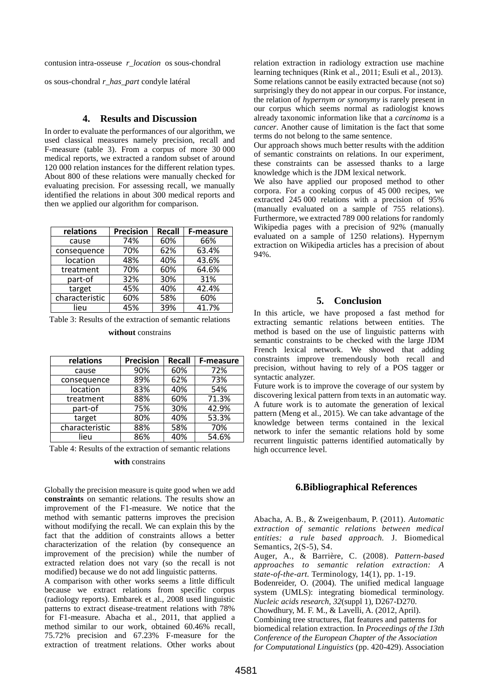contusion intra-osseuse *r\_location* os sous-chondral

os sous-chondral *r\_has\_part* condyle latéral

### **4. Results and Discussion**

In order to evaluate the performances of our algorithm, we used classical measures namely precision, recall and F-measure (table 3). From a corpus of more 30 000 medical reports, we extracted a random subset of around 120 000 relation instances for the different relation types. About 800 of these relations were manually checked for evaluating precision. For assessing recall, we manually identified the relations in about 300 medical reports and then we applied our algorithm for comparison.

| relations      | <b>Precision</b> | Recall | <b>F-measure</b> |
|----------------|------------------|--------|------------------|
| cause          | 74%              | 60%    | 66%              |
| consequence    | 70%              | 62%    | 63.4%            |
| location       | 48%              | 40%    | 43.6%            |
| treatment      | 70%              | 60%    | 64.6%            |
| part-of        | 32%              | 30%    | 31%              |
| target         | 45%              | 40%    | 42.4%            |
| characteristic | 60%              | 58%    | 60%              |
| lieu           | 45%              | 39%    | 41.7%            |

Table 3: Results of the extraction of semantic relations

#### **without** constrains

| relations      | <b>Precision</b> | <b>Recall</b> | F-measure |
|----------------|------------------|---------------|-----------|
| cause          | 90%              | 60%           | 72%       |
| consequence    | 89%              | 62%           | 73%       |
| location       | 83%              | 40%           | 54%       |
| treatment      | 88%              | 60%           | 71.3%     |
| part-of        | 75%              | 30%           | 42.9%     |
| target         | 80%              | 40%           | 53.3%     |
| characteristic | 88%              | 58%           | 70%       |
| lieu           | 86%              | 40%           | 54.6%     |

Table 4: Results of the extraction of semantic relations

#### **with** constrains

Globally the precision measure is quite good when we add **constraints** on semantic relations. The results show an improvement of the F1-measure. We notice that the method with semantic patterns improves the precision without modifying the recall. We can explain this by the fact that the addition of constraints allows a better characterization of the relation (by consequence an improvement of the precision) while the number of extracted relation does not vary (so the recall is not modified) because we do not add linguistic patterns.

A comparison with other works seems a little difficult because we extract relations from specific corpus (radiology reports). Embarek et al., 2008 used linguistic patterns to extract disease-treatment relations with 78% for F1-measure. Abacha et al., 2011, that applied a method similar to our work, obtained 60.46% recall, 75.72% precision and 67.23% F-measure for the extraction of treatment relations. Other works about relation extraction in radiology extraction use machine learning techniques (Rink et al., 2011; Esuli et al., 2013). Some relations cannot be easily extracted because (not so) surprisingly they do not appear in our corpus. For instance, the relation of *hypernym or synonymy* is rarely present in our corpus which seems normal as radiologist knows already taxonomic information like that a *carcinoma* is a *cancer*. Another cause of limitation is the fact that some terms do not belong to the same sentence.

Our approach shows much better results with the addition of semantic constraints on relations. In our experiment, these constraints can be assessed thanks to a large knowledge which is the JDM lexical network.

We also have applied our proposed method to other corpora. For a cooking corpus of 45 000 recipes, we extracted 245 000 relations with a precision of 95% (manually evaluated on a sample of 755 relations). Furthermore, we extracted 789 000 relations for randomly Wikipedia pages with a precision of 92% (manually evaluated on a sample of 1250 relations). Hypernym extraction on Wikipedia articles has a precision of about 94%.

#### **5. Conclusion**

In this article, we have proposed a fast method for extracting semantic relations between entities. The method is based on the use of linguistic patterns with semantic constraints to be checked with the large JDM French lexical network. We showed that adding constraints improve tremendously both recall and precision, without having to rely of a POS tagger or syntactic analyzer.

Future work is to improve the coverage of our system by discovering lexical pattern from texts in an automatic way. A future work is to automate the generation of lexical pattern (Meng et al., 2015). We can take advantage of the knowledge between terms contained in the lexical network to infer the semantic relations hold by some recurrent linguistic patterns identified automatically by high occurrence level.

#### **6.Bibliographical References**

Abacha, A. B., & Zweigenbaum, P. (2011). *Automatic extraction of semantic relations between medical entities: a rule based approach.* J. Biomedical Semantics, 2(S-5), S4.

Auger, A., & Barrière, C. (2008). *Pattern-based approaches to semantic relation extraction: A state-of-the-art.* Terminology, 14(1), pp. 1-19.

Bodenreider, O. (2004). The unified medical language system (UMLS): integrating biomedical terminology. *Nucleic acids research*, *32*(suppl 1), D267-D270.

Chowdhury, M. F. M., & Lavelli, A. (2012, April).

Combining tree structures, flat features and patterns for biomedical relation extraction. In *Proceedings of the 13th Conference of the European Chapter of the Association for Computational Linguistics* (pp. 420-429). Association